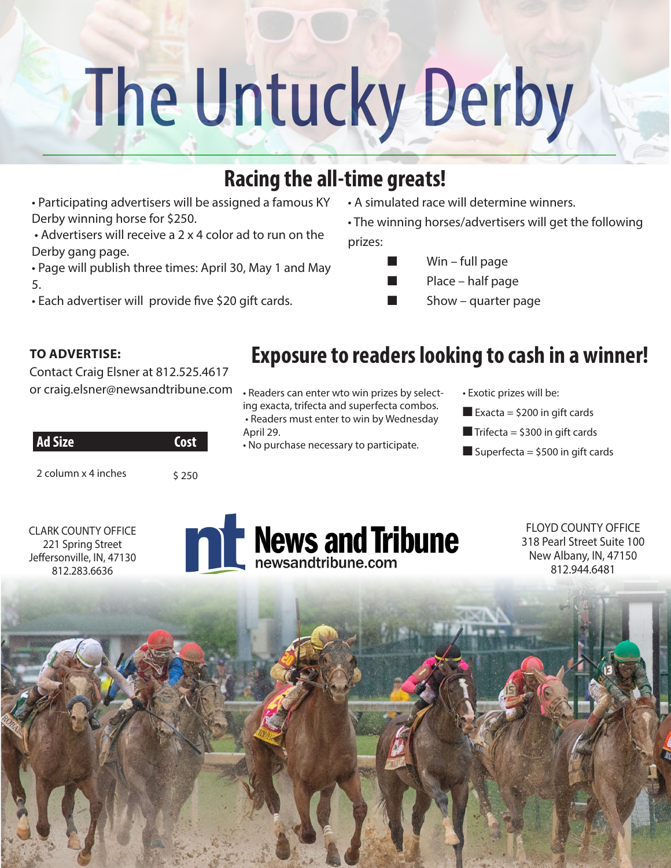## The Untucky Derby

## **Racing the all-time greats!**

• Participating advertisers will be assigned a famous KY Derby winning horse for \$250.

 • Advertisers will receive a 2 x 4 color ad to run on the Derby gang page.

• Page will publish three times: April 30, May 1 and May 5.

• Each advertiser will provide five \$20 gift cards.

• A simulated race will determine winners.

• The winning horses/advertisers will get the following prizes:

- $Win full page$ 
	- Place half page
	- Show quarter page

## **TO ADVERTISE:**

812.283.6636

Contact Craig Elsner at 812.525.4617 or craig.elsner@newsandtribune.com

| <b>Ad Size</b>      | Cost     |
|---------------------|----------|
| 2 column x 4 inches | ን  ና   በ |



- Readers can enter wto win prizes by selecting exacta, trifecta and superfecta combos. • Readers must enter to win by Wednesday
- April 29.
- No purchase necessary to participate.
- Exotic prizes will be:
- Exacta =  $$200$  in gift cards
- $\blacksquare$  Trifecta = \$300 in gift cards
- Superfecta =  $$500$  in gift cards



FLOYD COUNTY OFFICE 318 Pearl Street Suite 100 New Albany, IN, 47150 812.944.6481